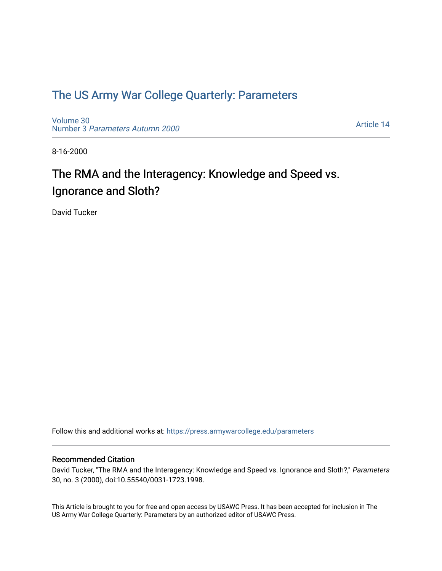## [The US Army War College Quarterly: Parameters](https://press.armywarcollege.edu/parameters)

[Volume 30](https://press.armywarcollege.edu/parameters/vol30) Number 3 [Parameters Autumn 2000](https://press.armywarcollege.edu/parameters/vol30/iss3)

[Article 14](https://press.armywarcollege.edu/parameters/vol30/iss3/14) 

8-16-2000

# The RMA and the Interagency: Knowledge and Speed vs. Ignorance and Sloth?

David Tucker

Follow this and additional works at: [https://press.armywarcollege.edu/parameters](https://press.armywarcollege.edu/parameters?utm_source=press.armywarcollege.edu%2Fparameters%2Fvol30%2Fiss3%2F14&utm_medium=PDF&utm_campaign=PDFCoverPages) 

#### Recommended Citation

David Tucker, "The RMA and the Interagency: Knowledge and Speed vs. Ignorance and Sloth?," Parameters 30, no. 3 (2000), doi:10.55540/0031-1723.1998.

This Article is brought to you for free and open access by USAWC Press. It has been accepted for inclusion in The US Army War College Quarterly: Parameters by an authorized editor of USAWC Press.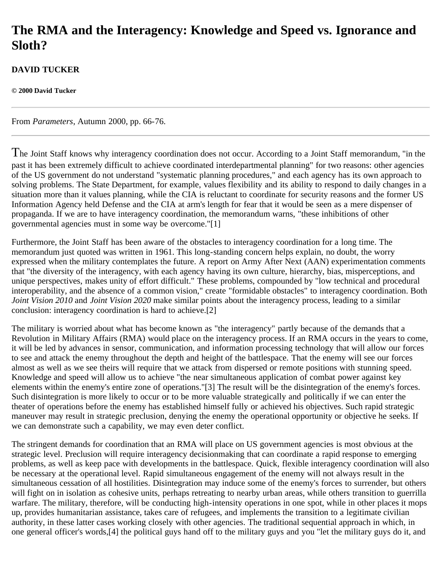# **The RMA and the Interagency: Knowledge and Speed vs. Ignorance and Sloth?**

### **DAVID TUCKER**

**© 2000 David Tucker**

From *Parameters*, Autumn 2000, pp. 66-76.

The Joint Staff knows why interagency coordination does not occur. According to a Joint Staff memorandum, "in the past it has been extremely difficult to achieve coordinated interdepartmental planning" for two reasons: other agencies of the US government do not understand "systematic planning procedures," and each agency has its own approach to solving problems. The State Department, for example, values flexibility and its ability to respond to daily changes in a situation more than it values planning, while the CIA is reluctant to coordinate for security reasons and the former US Information Agency held Defense and the CIA at arm's length for fear that it would be seen as a mere dispenser of propaganda. If we are to have interagency coordination, the memorandum warns, "these inhibitions of other governmental agencies must in some way be overcome."[1]

Furthermore, the Joint Staff has been aware of the obstacles to interagency coordination for a long time. The memorandum just quoted was written in 1961. This long-standing concern helps explain, no doubt, the worry expressed when the military contemplates the future. A report on Army After Next (AAN) experimentation comments that "the diversity of the interagency, with each agency having its own culture, hierarchy, bias, misperceptions, and unique perspectives, makes unity of effort difficult." These problems, compounded by "low technical and procedural interoperability, and the absence of a common vision," create "formidable obstacles" to interagency coordination. Both *Joint Vision 2010* and *Joint Vision 2020* make similar points about the interagency process, leading to a similar conclusion: interagency coordination is hard to achieve.[2]

The military is worried about what has become known as "the interagency" partly because of the demands that a Revolution in Military Affairs (RMA) would place on the interagency process. If an RMA occurs in the years to come, it will be led by advances in sensor, communication, and information processing technology that will allow our forces to see and attack the enemy throughout the depth and height of the battlespace. That the enemy will see our forces almost as well as we see theirs will require that we attack from dispersed or remote positions with stunning speed. Knowledge and speed will allow us to achieve "the near simultaneous application of combat power against key elements within the enemy's entire zone of operations."[3] The result will be the disintegration of the enemy's forces. Such disintegration is more likely to occur or to be more valuable strategically and politically if we can enter the theater of operations before the enemy has established himself fully or achieved his objectives. Such rapid strategic maneuver may result in strategic preclusion, denying the enemy the operational opportunity or objective he seeks. If we can demonstrate such a capability, we may even deter conflict.

The stringent demands for coordination that an RMA will place on US government agencies is most obvious at the strategic level. Preclusion will require interagency decisionmaking that can coordinate a rapid response to emerging problems, as well as keep pace with developments in the battlespace. Quick, flexible interagency coordination will also be necessary at the operational level. Rapid simultaneous engagement of the enemy will not always result in the simultaneous cessation of all hostilities. Disintegration may induce some of the enemy's forces to surrender, but others will fight on in isolation as cohesive units, perhaps retreating to nearby urban areas, while others transition to guerrilla warfare. The military, therefore, will be conducting high-intensity operations in one spot, while in other places it mops up, provides humanitarian assistance, takes care of refugees, and implements the transition to a legitimate civilian authority, in these latter cases working closely with other agencies. The traditional sequential approach in which, in one general officer's words,[4] the political guys hand off to the military guys and you "let the military guys do it, and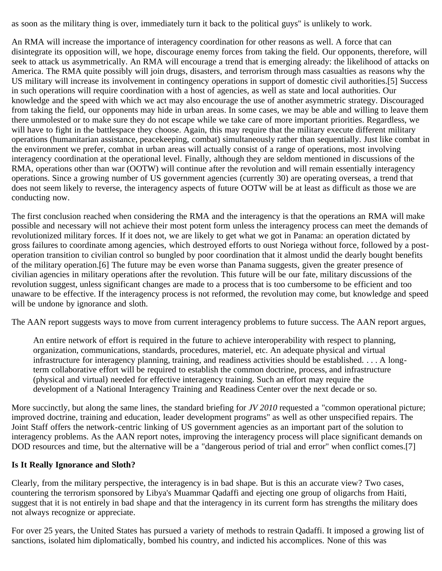as soon as the military thing is over, immediately turn it back to the political guys" is unlikely to work.

An RMA will increase the importance of interagency coordination for other reasons as well. A force that can disintegrate its opposition will, we hope, discourage enemy forces from taking the field. Our opponents, therefore, will seek to attack us asymmetrically. An RMA will encourage a trend that is emerging already: the likelihood of attacks on America. The RMA quite possibly will join drugs, disasters, and terrorism through mass casualties as reasons why the US military will increase its involvement in contingency operations in support of domestic civil authorities.[5] Success in such operations will require coordination with a host of agencies, as well as state and local authorities. Our knowledge and the speed with which we act may also encourage the use of another asymmetric strategy. Discouraged from taking the field, our opponents may hide in urban areas. In some cases, we may be able and willing to leave them there unmolested or to make sure they do not escape while we take care of more important priorities. Regardless, we will have to fight in the battlespace they choose. Again, this may require that the military execute different military operations (humanitarian assistance, peacekeeping, combat) simultaneously rather than sequentially. Just like combat in the environment we prefer, combat in urban areas will actually consist of a range of operations, most involving interagency coordination at the operational level. Finally, although they are seldom mentioned in discussions of the RMA, operations other than war (OOTW) will continue after the revolution and will remain essentially interagency operations. Since a growing number of US government agencies (currently 30) are operating overseas, a trend that does not seem likely to reverse, the interagency aspects of future OOTW will be at least as difficult as those we are conducting now.

The first conclusion reached when considering the RMA and the interagency is that the operations an RMA will make possible and necessary will not achieve their most potent form unless the interagency process can meet the demands of revolutionized military forces. If it does not, we are likely to get what we got in Panama: an operation dictated by gross failures to coordinate among agencies, which destroyed efforts to oust Noriega without force, followed by a postoperation transition to civilian control so bungled by poor coordination that it almost undid the dearly bought benefits of the military operation.[6] The future may be even worse than Panama suggests, given the greater presence of civilian agencies in military operations after the revolution. This future will be our fate, military discussions of the revolution suggest, unless significant changes are made to a process that is too cumbersome to be efficient and too unaware to be effective. If the interagency process is not reformed, the revolution may come, but knowledge and speed will be undone by ignorance and sloth.

The AAN report suggests ways to move from current interagency problems to future success. The AAN report argues,

An entire network of effort is required in the future to achieve interoperability with respect to planning, organization, communications, standards, procedures, materiel, etc. An adequate physical and virtual infrastructure for interagency planning, training, and readiness activities should be established. . . . A longterm collaborative effort will be required to establish the common doctrine, process, and infrastructure (physical and virtual) needed for effective interagency training. Such an effort may require the development of a National Interagency Training and Readiness Center over the next decade or so.

More succinctly, but along the same lines, the standard briefing for *JV 2010* requested a "common operational picture; improved doctrine, training and education, leader development programs" as well as other unspecified repairs. The Joint Staff offers the network-centric linking of US government agencies as an important part of the solution to interagency problems. As the AAN report notes, improving the interagency process will place significant demands on DOD resources and time, but the alternative will be a "dangerous period of trial and error" when conflict comes.[7]

### **Is It Really Ignorance and Sloth?**

Clearly, from the military perspective, the interagency is in bad shape. But is this an accurate view? Two cases, countering the terrorism sponsored by Libya's Muammar Qadaffi and ejecting one group of oligarchs from Haiti, suggest that it is not entirely in bad shape and that the interagency in its current form has strengths the military does not always recognize or appreciate.

For over 25 years, the United States has pursued a variety of methods to restrain Qadaffi. It imposed a growing list of sanctions, isolated him diplomatically, bombed his country, and indicted his accomplices. None of this was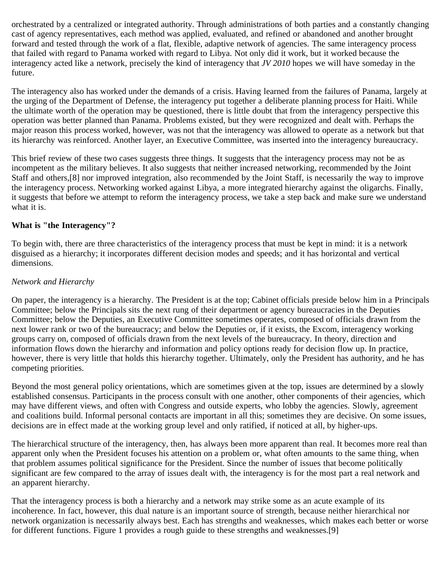orchestrated by a centralized or integrated authority. Through administrations of both parties and a constantly changing cast of agency representatives, each method was applied, evaluated, and refined or abandoned and another brought forward and tested through the work of a flat, flexible, adaptive network of agencies. The same interagency process that failed with regard to Panama worked with regard to Libya. Not only did it work, but it worked because the interagency acted like a network, precisely the kind of interagency that *JV 2010* hopes we will have someday in the future.

The interagency also has worked under the demands of a crisis. Having learned from the failures of Panama, largely at the urging of the Department of Defense, the interagency put together a deliberate planning process for Haiti. While the ultimate worth of the operation may be questioned, there is little doubt that from the interagency perspective this operation was better planned than Panama. Problems existed, but they were recognized and dealt with. Perhaps the major reason this process worked, however, was not that the interagency was allowed to operate as a network but that its hierarchy was reinforced. Another layer, an Executive Committee, was inserted into the interagency bureaucracy.

This brief review of these two cases suggests three things. It suggests that the interagency process may not be as incompetent as the military believes. It also suggests that neither increased networking, recommended by the Joint Staff and others,[8] nor improved integration, also recommended by the Joint Staff, is necessarily the way to improve the interagency process. Networking worked against Libya, a more integrated hierarchy against the oligarchs. Finally, it suggests that before we attempt to reform the interagency process, we take a step back and make sure we understand what it is.

#### **What is "the Interagency"?**

To begin with, there are three characteristics of the interagency process that must be kept in mind: it is a network disguised as a hierarchy; it incorporates different decision modes and speeds; and it has horizontal and vertical dimensions.

#### *Network and Hierarchy*

On paper, the interagency is a hierarchy. The President is at the top; Cabinet officials preside below him in a Principals Committee; below the Principals sits the next rung of their department or agency bureaucracies in the Deputies Committee; below the Deputies, an Executive Committee sometimes operates, composed of officials drawn from the next lower rank or two of the bureaucracy; and below the Deputies or, if it exists, the Excom, interagency working groups carry on, composed of officials drawn from the next levels of the bureaucracy. In theory, direction and information flows down the hierarchy and information and policy options ready for decision flow up. In practice, however, there is very little that holds this hierarchy together. Ultimately, only the President has authority, and he has competing priorities.

Beyond the most general policy orientations, which are sometimes given at the top, issues are determined by a slowly established consensus. Participants in the process consult with one another, other components of their agencies, which may have different views, and often with Congress and outside experts, who lobby the agencies. Slowly, agreement and coalitions build. Informal personal contacts are important in all this; sometimes they are decisive. On some issues, decisions are in effect made at the working group level and only ratified, if noticed at all, by higher-ups.

The hierarchical structure of the interagency, then, has always been more apparent than real. It becomes more real than apparent only when the President focuses his attention on a problem or, what often amounts to the same thing, when that problem assumes political significance for the President. Since the number of issues that become politically significant are few compared to the array of issues dealt with, the interagency is for the most part a real network and an apparent hierarchy.

That the interagency process is both a hierarchy and a network may strike some as an acute example of its incoherence. In fact, however, this dual nature is an important source of strength, because neither hierarchical nor network organization is necessarily always best. Each has strengths and weaknesses, which makes each better or worse for different functions. Figure 1 provides a rough guide to these strengths and weaknesses.[9]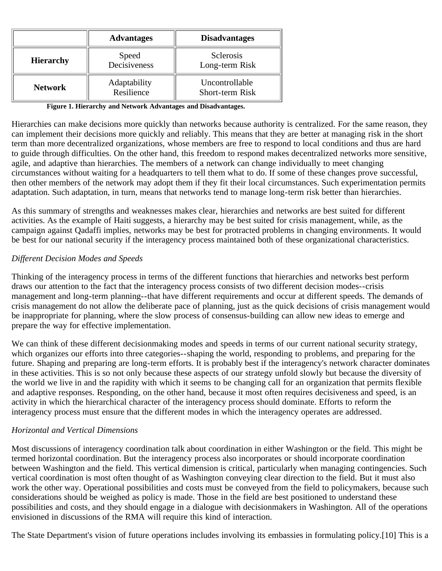|                  | <b>Advantages</b>          | <b>Disadvantages</b>                     |
|------------------|----------------------------|------------------------------------------|
| <b>Hierarchy</b> | Speed<br>Decisiveness      | <b>Sclerosis</b><br>Long-term Risk       |
| <b>Network</b>   | Adaptability<br>Resilience | Uncontrollable<br><b>Short-term Risk</b> |

**Figure 1. Hierarchy and Network Advantages and Disadvantages.**

Hierarchies can make decisions more quickly than networks because authority is centralized. For the same reason, they can implement their decisions more quickly and reliably. This means that they are better at managing risk in the short term than more decentralized organizations, whose members are free to respond to local conditions and thus are hard to guide through difficulties. On the other hand, this freedom to respond makes decentralized networks more sensitive, agile, and adaptive than hierarchies. The members of a network can change individually to meet changing circumstances without waiting for a headquarters to tell them what to do. If some of these changes prove successful, then other members of the network may adopt them if they fit their local circumstances. Such experimentation permits adaptation. Such adaptation, in turn, means that networks tend to manage long-term risk better than hierarchies.

As this summary of strengths and weaknesses makes clear, hierarchies and networks are best suited for different activities. As the example of Haiti suggests, a hierarchy may be best suited for crisis management, while, as the campaign against Qadaffi implies, networks may be best for protracted problems in changing environments. It would be best for our national security if the interagency process maintained both of these organizational characteristics.

#### *Different Decision Modes and Speeds*

Thinking of the interagency process in terms of the different functions that hierarchies and networks best perform draws our attention to the fact that the interagency process consists of two different decision modes--crisis management and long-term planning--that have different requirements and occur at different speeds. The demands of crisis management do not allow the deliberate pace of planning, just as the quick decisions of crisis management would be inappropriate for planning, where the slow process of consensus-building can allow new ideas to emerge and prepare the way for effective implementation.

We can think of these different decisionmaking modes and speeds in terms of our current national security strategy, which organizes our efforts into three categories--shaping the world, responding to problems, and preparing for the future. Shaping and preparing are long-term efforts. It is probably best if the interagency's network character dominates in these activities. This is so not only because these aspects of our strategy unfold slowly but because the diversity of the world we live in and the rapidity with which it seems to be changing call for an organization that permits flexible and adaptive responses. Responding, on the other hand, because it most often requires decisiveness and speed, is an activity in which the hierarchical character of the interagency process should dominate. Efforts to reform the interagency process must ensure that the different modes in which the interagency operates are addressed.

#### *Horizontal and Vertical Dimensions*

Most discussions of interagency coordination talk about coordination in either Washington or the field. This might be termed horizontal coordination. But the interagency process also incorporates or should incorporate coordination between Washington and the field. This vertical dimension is critical, particularly when managing contingencies. Such vertical coordination is most often thought of as Washington conveying clear direction to the field. But it must also work the other way. Operational possibilities and costs must be conveyed from the field to policymakers, because such considerations should be weighed as policy is made. Those in the field are best positioned to understand these possibilities and costs, and they should engage in a dialogue with decisionmakers in Washington. All of the operations envisioned in discussions of the RMA will require this kind of interaction.

The State Department's vision of future operations includes involving its embassies in formulating policy.[10] This is a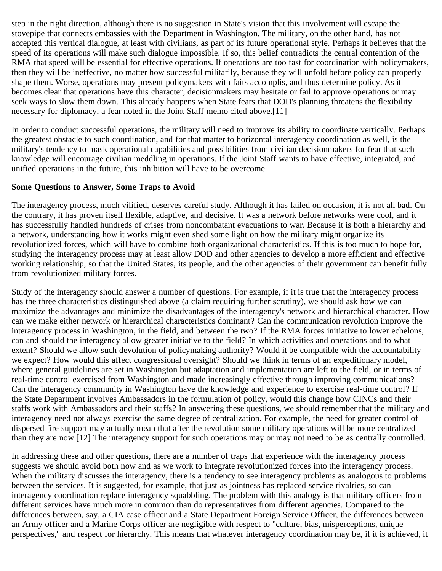step in the right direction, although there is no suggestion in State's vision that this involvement will escape the stovepipe that connects embassies with the Department in Washington. The military, on the other hand, has not accepted this vertical dialogue, at least with civilians, as part of its future operational style. Perhaps it believes that the speed of its operations will make such dialogue impossible. If so, this belief contradicts the central contention of the RMA that speed will be essential for effective operations. If operations are too fast for coordination with policymakers, then they will be ineffective, no matter how successful militarily, because they will unfold before policy can properly shape them. Worse, operations may present policymakers with faits accomplis, and thus determine policy. As it becomes clear that operations have this character, decisionmakers may hesitate or fail to approve operations or may seek ways to slow them down. This already happens when State fears that DOD's planning threatens the flexibility necessary for diplomacy, a fear noted in the Joint Staff memo cited above.[11]

In order to conduct successful operations, the military will need to improve its ability to coordinate vertically. Perhaps the greatest obstacle to such coordination, and for that matter to horizontal interagency coordination as well, is the military's tendency to mask operational capabilities and possibilities from civilian decisionmakers for fear that such knowledge will encourage civilian meddling in operations. If the Joint Staff wants to have effective, integrated, and unified operations in the future, this inhibition will have to be overcome.

#### **Some Questions to Answer, Some Traps to Avoid**

The interagency process, much vilified, deserves careful study. Although it has failed on occasion, it is not all bad. On the contrary, it has proven itself flexible, adaptive, and decisive. It was a network before networks were cool, and it has successfully handled hundreds of crises from noncombatant evacuations to war. Because it is both a hierarchy and a network, understanding how it works might even shed some light on how the military might organize its revolutionized forces, which will have to combine both organizational characteristics. If this is too much to hope for, studying the interagency process may at least allow DOD and other agencies to develop a more efficient and effective working relationship, so that the United States, its people, and the other agencies of their government can benefit fully from revolutionized military forces.

Study of the interagency should answer a number of questions. For example, if it is true that the interagency process has the three characteristics distinguished above (a claim requiring further scrutiny), we should ask how we can maximize the advantages and minimize the disadvantages of the interagency's network and hierarchical character. How can we make either network or hierarchical characteristics dominant? Can the communication revolution improve the interagency process in Washington, in the field, and between the two? If the RMA forces initiative to lower echelons, can and should the interagency allow greater initiative to the field? In which activities and operations and to what extent? Should we allow such devolution of policymaking authority? Would it be compatible with the accountability we expect? How would this affect congressional oversight? Should we think in terms of an expeditionary model, where general guidelines are set in Washington but adaptation and implementation are left to the field, or in terms of real-time control exercised from Washington and made increasingly effective through improving communications? Can the interagency community in Washington have the knowledge and experience to exercise real-time control? If the State Department involves Ambassadors in the formulation of policy, would this change how CINCs and their staffs work with Ambassadors and their staffs? In answering these questions, we should remember that the military and interagency need not always exercise the same degree of centralization. For example, the need for greater control of dispersed fire support may actually mean that after the revolution some military operations will be more centralized than they are now.[12] The interagency support for such operations may or may not need to be as centrally controlled.

In addressing these and other questions, there are a number of traps that experience with the interagency process suggests we should avoid both now and as we work to integrate revolutionized forces into the interagency process. When the military discusses the interagency, there is a tendency to see interagency problems as analogous to problems between the services. It is suggested, for example, that just as jointness has replaced service rivalries, so can interagency coordination replace interagency squabbling. The problem with this analogy is that military officers from different services have much more in common than do representatives from different agencies. Compared to the differences between, say, a CIA case officer and a State Department Foreign Service Officer, the differences between an Army officer and a Marine Corps officer are negligible with respect to "culture, bias, misperceptions, unique perspectives," and respect for hierarchy. This means that whatever interagency coordination may be, if it is achieved, it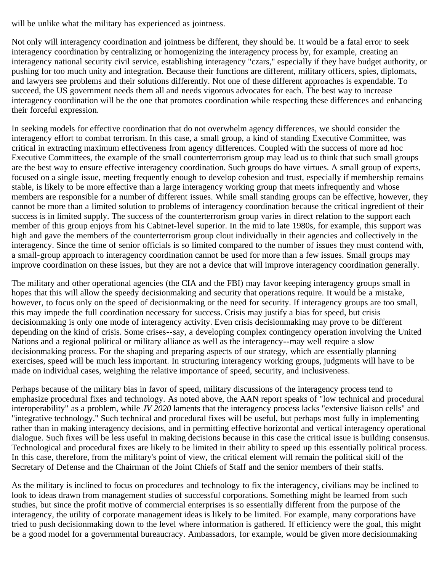will be unlike what the military has experienced as jointness.

Not only will interagency coordination and jointness be different, they should be. It would be a fatal error to seek interagency coordination by centralizing or homogenizing the interagency process by, for example, creating an interagency national security civil service, establishing interagency "czars," especially if they have budget authority, or pushing for too much unity and integration. Because their functions are different, military officers, spies, diplomats, and lawyers see problems and their solutions differently. Not one of these different approaches is expendable. To succeed, the US government needs them all and needs vigorous advocates for each. The best way to increase interagency coordination will be the one that promotes coordination while respecting these differences and enhancing their forceful expression.

In seeking models for effective coordination that do not overwhelm agency differences, we should consider the interagency effort to combat terrorism. In this case, a small group, a kind of standing Executive Committee, was critical in extracting maximum effectiveness from agency differences. Coupled with the success of more ad hoc Executive Committees, the example of the small counterterrorism group may lead us to think that such small groups are the best way to ensure effective interagency coordination. Such groups do have virtues. A small group of experts, focused on a single issue, meeting frequently enough to develop cohesion and trust, especially if membership remains stable, is likely to be more effective than a large interagency working group that meets infrequently and whose members are responsible for a number of different issues. While small standing groups can be effective, however, they cannot be more than a limited solution to problems of interagency coordination because the critical ingredient of their success is in limited supply. The success of the counterterrorism group varies in direct relation to the support each member of this group enjoys from his Cabinet-level superior. In the mid to late 1980s, for example, this support was high and gave the members of the counterterrorism group clout individually in their agencies and collectively in the interagency. Since the time of senior officials is so limited compared to the number of issues they must contend with, a small-group approach to interagency coordination cannot be used for more than a few issues. Small groups may improve coordination on these issues, but they are not a device that will improve interagency coordination generally.

The military and other operational agencies (the CIA and the FBI) may favor keeping interagency groups small in hopes that this will allow the speedy decisionmaking and security that operations require. It would be a mistake, however, to focus only on the speed of decisionmaking or the need for security. If interagency groups are too small, this may impede the full coordination necessary for success. Crisis may justify a bias for speed, but crisis decisionmaking is only one mode of interagency activity. Even crisis decisionmaking may prove to be different depending on the kind of crisis. Some crises--say, a developing complex contingency operation involving the United Nations and a regional political or military alliance as well as the interagency--may well require a slow decisionmaking process. For the shaping and preparing aspects of our strategy, which are essentially planning exercises, speed will be much less important. In structuring interagency working groups, judgments will have to be made on individual cases, weighing the relative importance of speed, security, and inclusiveness.

Perhaps because of the military bias in favor of speed, military discussions of the interagency process tend to emphasize procedural fixes and technology. As noted above, the AAN report speaks of "low technical and procedural interoperability" as a problem, while *JV 2020* laments that the interagency process lacks "extensive liaison cells" and "integrative technology." Such technical and procedural fixes will be useful, but perhaps most fully in implementing rather than in making interagency decisions, and in permitting effective horizontal and vertical interagency operational dialogue. Such fixes will be less useful in making decisions because in this case the critical issue is building consensus. Technological and procedural fixes are likely to be limited in their ability to speed up this essentially political process. In this case, therefore, from the military's point of view, the critical element will remain the political skill of the Secretary of Defense and the Chairman of the Joint Chiefs of Staff and the senior members of their staffs.

As the military is inclined to focus on procedures and technology to fix the interagency, civilians may be inclined to look to ideas drawn from management studies of successful corporations. Something might be learned from such studies, but since the profit motive of commercial enterprises is so essentially different from the purpose of the interagency, the utility of corporate management ideas is likely to be limited. For example, many corporations have tried to push decisionmaking down to the level where information is gathered. If efficiency were the goal, this might be a good model for a governmental bureaucracy. Ambassadors, for example, would be given more decisionmaking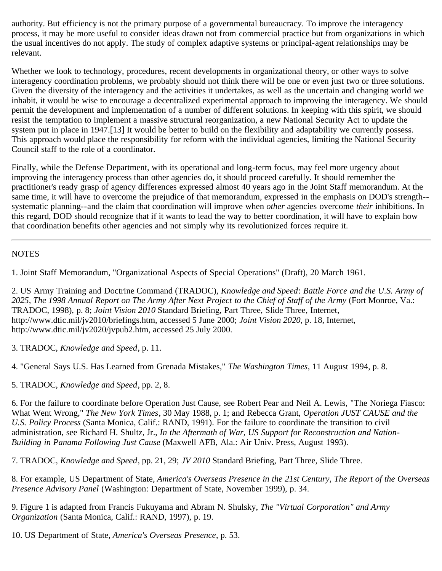authority. But efficiency is not the primary purpose of a governmental bureaucracy. To improve the interagency process, it may be more useful to consider ideas drawn not from commercial practice but from organizations in which the usual incentives do not apply. The study of complex adaptive systems or principal-agent relationships may be relevant.

Whether we look to technology, procedures, recent developments in organizational theory, or other ways to solve interagency coordination problems, we probably should not think there will be one or even just two or three solutions. Given the diversity of the interagency and the activities it undertakes, as well as the uncertain and changing world we inhabit, it would be wise to encourage a decentralized experimental approach to improving the interagency. We should permit the development and implementation of a number of different solutions. In keeping with this spirit, we should resist the temptation to implement a massive structural reorganization, a new National Security Act to update the system put in place in 1947.<sup>[13]</sup> It would be better to build on the flexibility and adaptability we currently possess. This approach would place the responsibility for reform with the individual agencies, limiting the National Security Council staff to the role of a coordinator.

Finally, while the Defense Department, with its operational and long-term focus, may feel more urgency about improving the interagency process than other agencies do, it should proceed carefully. It should remember the practitioner's ready grasp of agency differences expressed almost 40 years ago in the Joint Staff memorandum. At the same time, it will have to overcome the prejudice of that memorandum, expressed in the emphasis on DOD's strength- systematic planning--and the claim that coordination will improve when *other* agencies overcome *their* inhibitions. In this regard, DOD should recognize that if it wants to lead the way to better coordination, it will have to explain how that coordination benefits other agencies and not simply why its revolutionized forces require it.

#### **NOTES**

1. Joint Staff Memorandum, "Organizational Aspects of Special Operations" (Draft), 20 March 1961.

2. US Army Training and Doctrine Command (TRADOC), *Knowledge and Speed*: *Battle Force and the U.S. Army of 2025, The 1998 Annual Report on The Army After Next Project to the Chief of Staff of the Army* (Fort Monroe, Va.: TRADOC, 1998), p. 8; *Joint Vision 2010* Standard Briefing, Part Three, Slide Three, Internet, http://www.dtic.mil/jv2010/briefings.htm, accessed 5 June 2000; *Joint Vision 2020*, p. 18, Internet, http://www.dtic.mil/jv2020/jvpub2.htm, accessed 25 July 2000.

3. TRADOC, *Knowledge and Speed*, p. 11.

4. "General Says U.S. Has Learned from Grenada Mistakes," *The Washington Times,* 11 August 1994, p. 8.

5. TRADOC, *Knowledge and Speed*, pp. 2, 8.

6. For the failure to coordinate before Operation Just Cause, see Robert Pear and Neil A. Lewis, "The Noriega Fiasco: What Went Wrong," *The New York Times*, 30 May 1988, p. 1; and Rebecca Grant, *Operation JUST CAUSE and the U.S. Policy Process* (Santa Monica, Calif.: RAND, 1991). For the failure to coordinate the transition to civil administration, see Richard H. Shultz, Jr., *In the Aftermath of War, US Support for Reconstruction and Nation-Building in Panama Following Just Cause* (Maxwell AFB, Ala.: Air Univ. Press, August 1993).

7. TRADOC, *Knowledge and Speed*, pp. 21, 29; *JV 2010* Standard Briefing, Part Three, Slide Three.

8. For example, US Department of State, *America's Overseas Presence in the 21st Century, The Report of the Overseas Presence Advisory Panel* (Washington: Department of State, November 1999), p. 34.

9. Figure 1 is adapted from Francis Fukuyama and Abram N. Shulsky, *The "Virtual Corporation" and Army Organization* (Santa Monica, Calif.: RAND, 1997), p. 19.

10. US Department of State, *America's Overseas Presence*, p. 53.